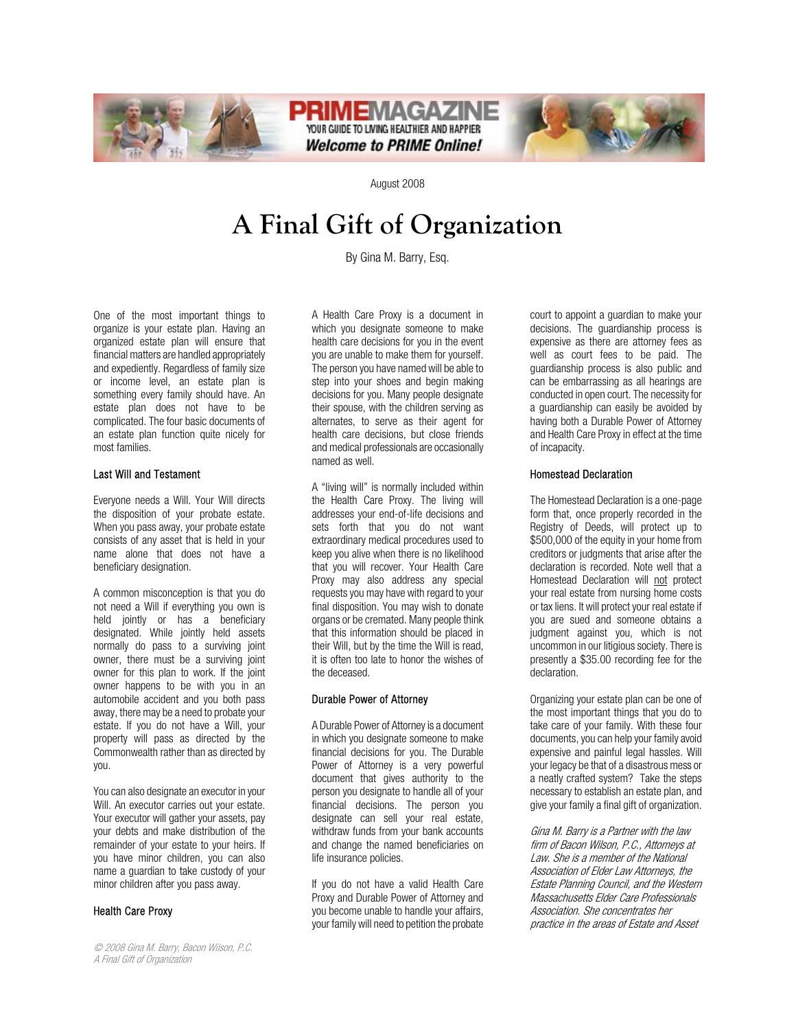



August 2008

# **A Final Gift of Organization**

By Gina M. Barry, Esq.

One of the most important things to organize is your estate plan. Having an organized estate plan will ensure that financial matters are handled appropriately and expediently. Regardless of family size or income level, an estate plan is something every family should have. An estate plan does not have to be complicated. The four basic documents of an estate plan function quite nicely for most families.

#### Last Will and Testament

Everyone needs a Will. Your Will directs the disposition of your probate estate. When you pass away, your probate estate consists of any asset that is held in your name alone that does not have a beneficiary designation.

A common misconception is that you do not need a Will if everything you own is held jointly or has a beneficiary designated. While jointly held assets normally do pass to a surviving joint owner, there must be a surviving joint owner for this plan to work. If the joint owner happens to be with you in an automobile accident and you both pass away, there may be a need to probate your estate. If you do not have a Will, your property will pass as directed by the Commonwealth rather than as directed by you.

You can also designate an executor in your Will. An executor carries out your estate. Your executor will gather your assets, pay your debts and make distribution of the remainder of your estate to your heirs. If you have minor children, you can also name a guardian to take custody of your minor children after you pass away.

## Health Care Proxy

© 2008 Gina M. Barry, Bacon Wilson, P.C. A Final Gift of Organization

A Health Care Proxy is a document in which you designate someone to make health care decisions for you in the event you are unable to make them for yourself. The person you have named will be able to step into your shoes and begin making decisions for you. Many people designate their spouse, with the children serving as alternates, to serve as their agent for health care decisions, but close friends and medical professionals are occasionally named as well.

A "living will" is normally included within the Health Care Proxy. The living will addresses your end-of-life decisions and sets forth that you do not want extraordinary medical procedures used to keep you alive when there is no likelihood that you will recover. Your Health Care Proxy may also address any special requests you may have with regard to your final disposition. You may wish to donate organs or be cremated. Many people think that this information should be placed in their Will, but by the time the Will is read, it is often too late to honor the wishes of the deceased.

## Durable Power of Attorney

A Durable Power of Attorney is a document in which you designate someone to make financial decisions for you. The Durable Power of Attorney is a very powerful document that gives authority to the person you designate to handle all of your financial decisions. The person you designate can sell your real estate, withdraw funds from your bank accounts and change the named beneficiaries on life insurance policies.

If you do not have a valid Health Care Proxy and Durable Power of Attorney and you become unable to handle your affairs, your family will need to petition the probate

court to appoint a guardian to make your decisions. The guardianship process is expensive as there are attorney fees as well as court fees to be paid. The guardianship process is also public and can be embarrassing as all hearings are conducted in open court. The necessity for a guardianship can easily be avoided by having both a Durable Power of Attorney and Health Care Proxy in effect at the time of incapacity.

#### Homestead Declaration

The Homestead Declaration is a one-page form that, once properly recorded in the Registry of Deeds, will protect up to \$500,000 of the equity in your home from creditors or judgments that arise after the declaration is recorded. Note well that a Homestead Declaration will not protect your real estate from nursing home costs or tax liens. It will protect your real estate if you are sued and someone obtains a judgment against you, which is not uncommon in our litigious society. There is presently a \$35.00 recording fee for the declaration.

Organizing your estate plan can be one of the most important things that you do to take care of your family. With these four documents, you can help your family avoid expensive and painful legal hassles. Will your legacy be that of a disastrous mess or a neatly crafted system? Take the steps necessary to establish an estate plan, and give your family a final gift of organization.

Gina M. Barry is a Partner with the law firm of Bacon Wilson, P.C., Attorneys at Law. She is a member of the National Association of Elder Law Attorneys, the Estate Planning Council, and the Western Massachusetts Elder Care Professionals Association. She concentrates her practice in the areas of Estate and Asset